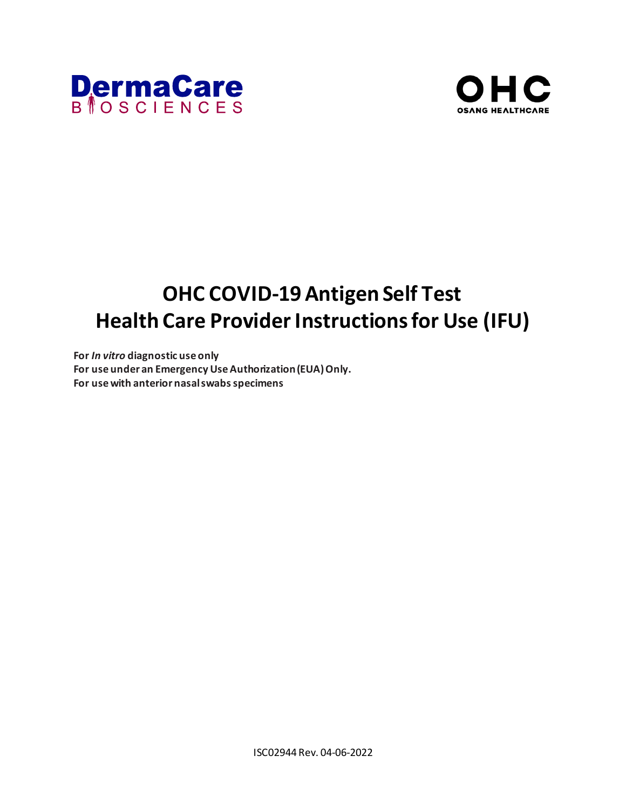



# **OHC COVID-19 Antigen Self Test Health Care Provider Instructions for Use (IFU)**

**For** *In vitro* **diagnostic use only For use under an Emergency Use Authorization (EUA) Only. For use with anterior nasal swabs specimens**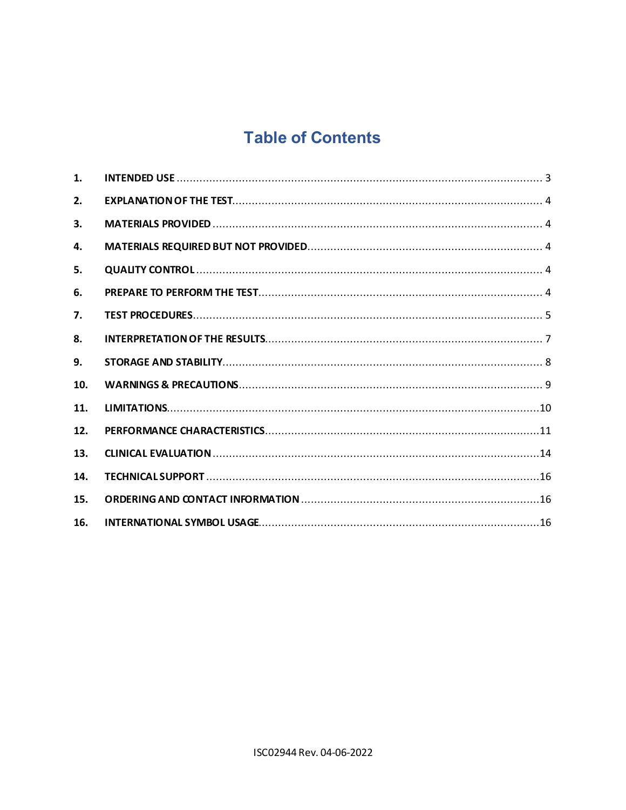## **Table of Contents**

| 1.  |  |
|-----|--|
| 2.  |  |
| 3.  |  |
| 4.  |  |
| 5.  |  |
| 6.  |  |
| 7.  |  |
| 8.  |  |
| 9.  |  |
| 10. |  |
| 11. |  |
| 12. |  |
| 13. |  |
| 14. |  |
| 15. |  |
| 16. |  |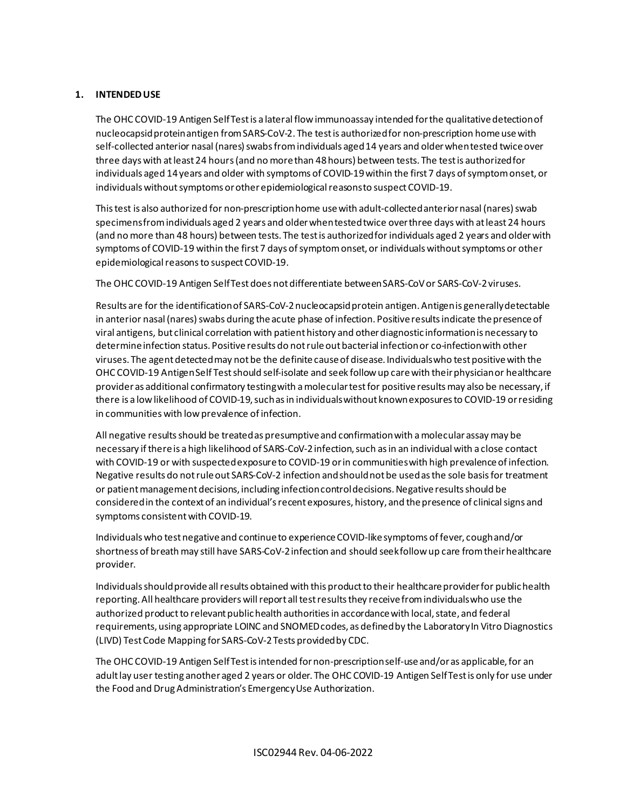## <span id="page-2-0"></span>**1. INTENDED USE**

The OHC COVID-19 Antigen Self Test is a lateral flow immunoassay intended for the qualitative detection of nucleocapsid protein antigen from SARS-CoV-2. The test is authorized for non-prescription home use with self-collected anterior nasal (nares) swabs from individuals aged 14 years and older when tested twice over three days with at least 24 hours (and no more than 48 hours) between tests. The test is authorized for individuals aged 14 years and older with symptoms of COVID-19 within the first 7 days of symptom onset, or individuals without symptoms or other epidemiological reasons to suspect COVID-19.

This test is also authorized for non-prescription home use with adult-collected anterior nasal (nares) swab specimens from individuals aged 2 years and older when tested twice over three days with at least 24 hours (and no more than 48 hours) between tests. The test is authorized for individuals aged 2 years and older with symptoms of COVID-19 within the first 7 days of symptom onset, or individuals without symptoms or other epidemiological reasons to suspect COVID-19.

The OHC COVID-19 Antigen Self Test does not differentiate between SARS-CoV or SARS-CoV-2 viruses.

Results are for the identification of SARS-CoV-2 nucleocapsid protein antigen. Antigen is generally detectable in anterior nasal (nares) swabs during the acute phase of infection. Positive results indicate the presence of viral antigens, but clinical correlation with patient history and other diagnostic information is necessary to determine infection status. Positive results do not rule out bacterial infection or co-infection with other viruses. The agent detected may not be the definite cause of disease. Individuals who test positive with the OHC COVID-19 Antigen Self Test should self-isolate and seek follow up care with their physician or healthcare provider as additional confirmatory testing with a molecular test for positive results may also be necessary, if there is a low likelihood of COVID-19, such as in individuals without known exposures to COVID-19 or residing in communities with low prevalence of infection.

All negative results should be treated as presumptive and confirmation with a molecular assay may be necessary if there is a high likelihood of SARS-CoV-2 infection, such as in an individual with a close contact with COVID-19 or with suspected exposure to COVID-19 or in communities with high prevalence of infection. Negative results do not rule out SARS-CoV-2 infection and should not be used as the sole basis for treatment or patient management decisions, including infection control decisions. Negative results should be considered in the context of an individual's recent exposures, history, and the presence of clinical signs and symptoms consistent with COVID-19.

Individuals who test negative and continue to experience COVID-like symptoms of fever, cough and/or shortness of breath may still have SARS-CoV-2 infection and should seek follow up care from their healthcare provider.

Individuals should provide all results obtained with this product to their healthcare provider for public health reporting. All healthcare providers will report all test results they receive from individuals who use the authorized product to relevant public health authorities in accordance with local, state, and federal requirements, using appropriate LOINC and SNOMED codes, as defined by the Laboratory In Vitro Diagnostics (LIVD) Test Code Mapping for SARS-CoV-2 Tests provided by CDC.

The OHC COVID-19 Antigen Self Test is intended for non-prescription self-use and/or as applicable, for an adult lay user testing another aged 2 years or older. The OHC COVID-19 Antigen Self Test is only for use under the Food and Drug Administration's Emergency Use Authorization.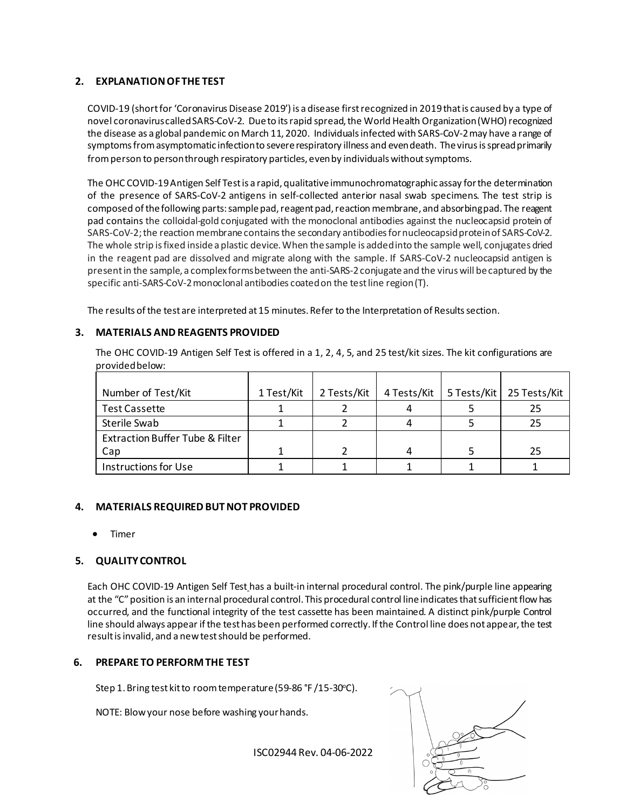## <span id="page-3-0"></span>**2. EXPLANATION OF THE TEST**

COVID-19 (short for 'Coronavirus Disease 2019') is a disease first recognized in 2019 that is caused by a type of novel coronavirus called SARS-CoV-2. Due to its rapid spread, the World Health Organization (WHO) recognized the disease as a global pandemic on March 11, 2020. Individuals infected with SARS-CoV-2 may have a range of symptoms from asymptomatic infection to severe respiratory illness and even death. The virus is spread primarily from person to person through respiratory particles, even by individuals without symptoms.

The OHC COVID-19 Antigen Self Testis a rapid, qualitative immunochromatographic assay for the determination of the presence of SARS-CoV-2 antigens in self-collected anterior nasal swab specimens. The test strip is composed ofthe following parts: sample pad, reagent pad, reaction membrane, and absorbing pad. The reagent pad contains the colloidal-gold conjugated with the monoclonal antibodies against the nucleocapsid protein of SARS-CoV-2; the reaction membrane contains the secondary antibodies for nucleocapsid protein of SARS-CoV-2. The whole strip is fixed inside a plastic device. When the sample is added into the sample well, conjugates dried in the reagent pad are dissolved and migrate along with the sample. If SARS-CoV-2 nucleocapsid antigen is present in the sample, a complex forms between the anti-SARS-2 conjugate and the virus will be captured by the specific anti-SARS-CoV-2 monoclonal antibodies coated on the test line region (T).

The results of the test are interpreted at 15 minutes. Refer to the Interpretation of Results section.

## <span id="page-3-1"></span>**3. MATERIALS AND REAGENTS PROVIDED**

The OHC COVID-19 Antigen Self Test is offered in a 1, 2, 4, 5, and 25 test/kit sizes. The kit configurations are provided below:

| Number of Test/Kit                         | 1 Test/Kit | 2 Tests/Kit | 4 Tests/Kit | 5 Tests/Kit   25 Tests/Kit |
|--------------------------------------------|------------|-------------|-------------|----------------------------|
| Test Cassette                              |            |             |             | 25                         |
| Sterile Swab                               |            |             |             | 25                         |
| <b>Extraction Buffer Tube &amp; Filter</b> |            |             |             |                            |
| Cap                                        |            |             |             | 25                         |
| Instructions for Use                       |            |             |             |                            |

## <span id="page-3-2"></span>**4. MATERIALS REQUIRED BUT NOT PROVIDED**

• Timer

## <span id="page-3-3"></span>**5. QUALITY CONTROL**

Each OHC COVID-19 Antigen Self Test has a built-in internal procedural control. The pink/purple line appearing at the "C" position is an internal procedural control. This procedural control line indicates that sufficient flow has occurred, and the functional integrity of the test cassette has been maintained. A distinct pink/purple Control line should always appear if the test has been performed correctly. If the Control line does not appear, the test result is invalid, and a new test should be performed.

## **6. PREPARE TO PERFORM THE TEST**

Step 1. Bring test kit to room temperature (59-86 °F /15-30°C).

NOTE: Blow your nose before washing your hands.

ISC02944 Rev. 04-06-2022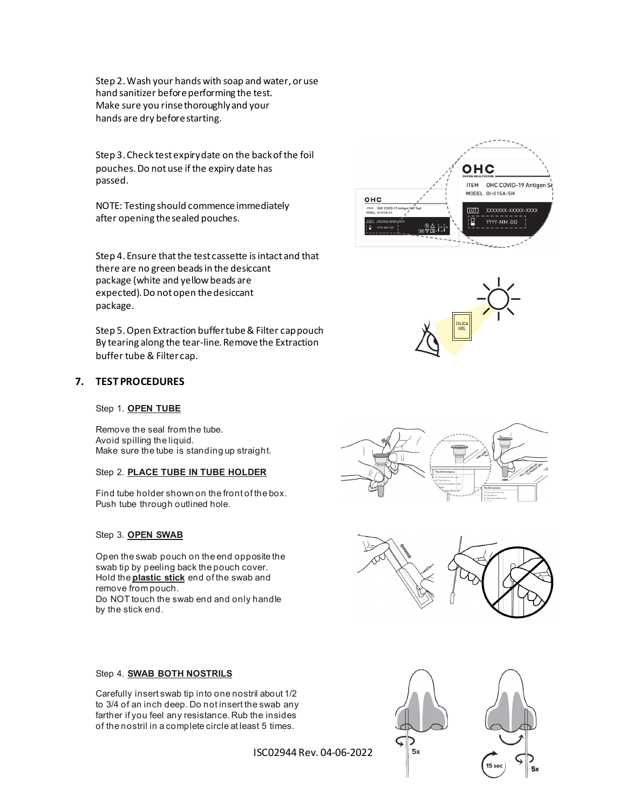Step 2. Wash your hands with soap and water, or use hand sanitizer before performing the test. Make sure you rinse thoroughly and your hands are dry before starting.

Step 3. Check test expiry date on the back of the foil pouches. Do not use if the expiry date has passed.

NOTE: Testing should commence immediately after opening the sealed pouches.

Step 4. Ensure that the test cassette is intact and that there are no green beads in the desiccant package (white and yellow beads are expected). Do not open the desiccant package.

Step 5. Open Extraction buffer tube & Filter cap pouch By tearing along the tear-line. Remove the Extraction buffer tube & Filter cap.

## <span id="page-4-0"></span>**7. TEST PROCEDURES**

#### Step 1. **OPEN TUBE**

Remove the seal from the tube. Avoid spilling the liquid. Make sure the tube is standing up straight.

#### Step 2. **PLACE TUBE IN TUBE HOLDER**

Find tube holder shown on the front of the box. Push tube through outlined hole.

#### Step 3. **OPEN SWAB**

Open the swab pouch on the end opposite the swab tip by peeling back the pouch cover. Hold the **plastic stick** end of the swab and remove from pouch. Do NOT touch the swab end and only handle by the stick end.

#### Step 4. **SWAB BOTH NOSTRILS**

Carefully insert swab tip into one nostril about 1/2 to 3/4 of an inch deep. Do not insert the swab any farther if you feel any resistance. Rub the insides of the nostril in a complete circle at least 5 times.

ISC02944 Rev. 04-06-2022











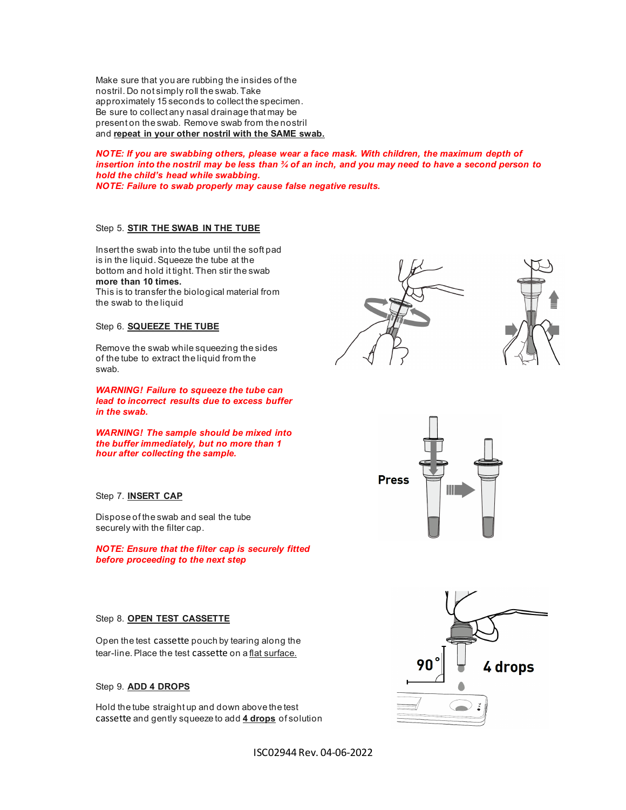Make sure that you are rubbing the insides of the nostril. Do not simply roll the swab. Take approximately 15 seconds to collect the specimen. Be sure to collect any nasal drainage that may be present on the swab. Remove swab from the nostril and **repeat in your other nostril with the SAME swab.**

*NOTE: If you are swabbing others, please wear a face mask. With children, the maximum depth of insertion into the nostril may be less than ¾ of an inch, and you may need to have a second person to hold the child's head while swabbing. NOTE: Failure to swab properly may cause false negative results.*

#### Step 5. **STIR THE SWAB IN THE TUBE**

Insert the swab into the tube until the soft pad is in the liquid. Squeeze the tube at the bottom and hold it tight. Then stir the swab **more than 10 times.**

This is to transfer the biological material from the swab to the liquid

#### Step 6. **SQUEEZE THE TUBE**

Remove the swab while squeezing the sides of the tube to extract the liquid from the swab.

*WARNING! Failure to squeeze the tube can lead to incorrect results due to excess buffer in the swab.*

*WARNING! The sample should be mixed into the buffer immediately, but no more than 1 hour after collecting the sample.* 

#### Step 7. **INSERT CAP**

Dispose of the swab and seal the tube securely with the filter cap.

*NOTE: Ensure that the filter cap is securely fitted before proceeding to the next step*

#### Step 8. **OPEN TEST CASSETTE**

Open the test cassette pouch by tearing along the tear-line. Place the test cassette on a flat surface.

## Step 9. **ADD 4 DROPS**

Hold the tube straight up and down above the test cassette and gently squeeze to add **4 drops** of solution







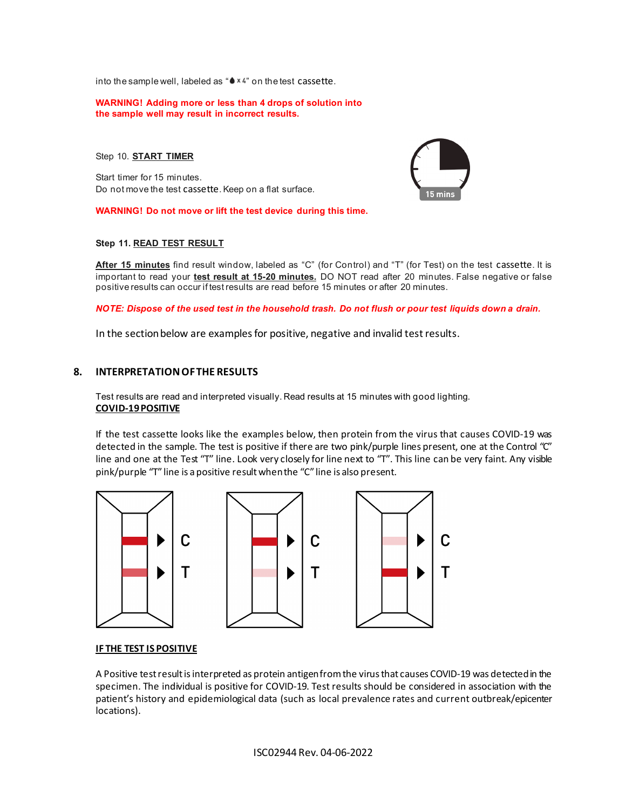into the sample well, labeled as " $\bullet$   $\times$  4" on the test cassette.

#### **WARNING! Adding more or less than 4 drops of solution into the sample well may result in incorrect results.**

Step 10. **START TIMER**

Start timer for 15 minutes. Do not move the test cassette. Keep on a flat surface.



#### **WARNING! Do not move or lift the test device during this time.**

#### **Step 11. READ TEST RESULT**

**After 15 minutes** find result window, labeled as "C" (for Control) and "T" (for Test) on the test cassette. It is important to read your **test result at 15-20 minutes.** DO NOT read after 20 minutes. False negative or false positive results can occur if test results are read before 15 minutes or after 20 minutes.

*NOTE: Dispose of the used test in the household trash. Do not flush or pour test liquids down a drain.*

In the section below are examples for positive, negative and invalid test results.

## <span id="page-6-0"></span>**8. INTERPRETATION OF THE RESULTS**

Test results are read and interpreted visually. Read results at 15 minutes with good lighting. **COVID-19 POSITIVE**

If the test cassette looks like the examples below, then protein from the virus that causes COVID-19 was detected in the sample. The test is positive if there are two pink/purple lines present, one at the Control "C" line and one at the Test "T" line. Look very closely for line next to "T". This line can be very faint. Any visible pink/purple "T" line is a positive result when the "C" line is also present.







#### **IF THE TEST IS POSITIVE**

A Positive test result is interpreted as protein antigen from the virus that causes COVID-19 was detected in the specimen. The individual is positive for COVID-19. Test results should be considered in association with the patient's history and epidemiological data (such as local prevalence rates and current outbreak/epicenter locations).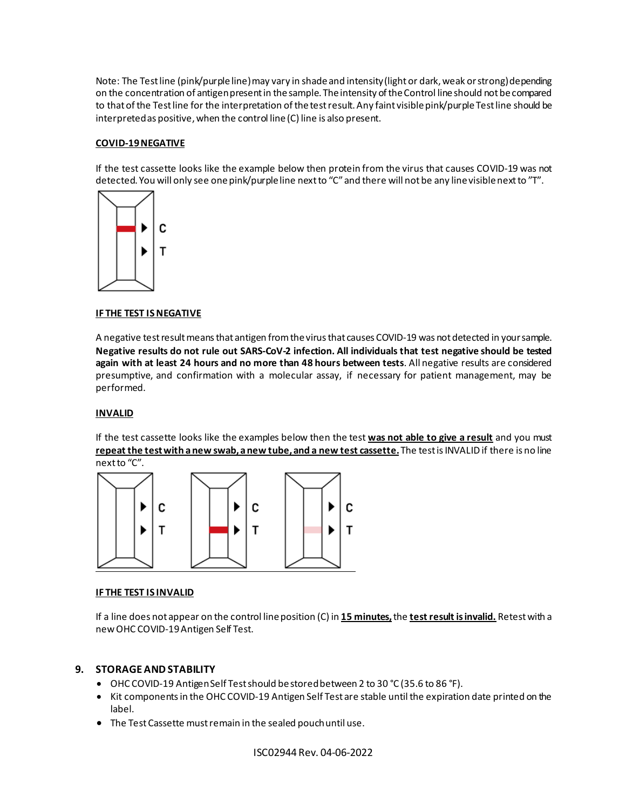Note: The Test line (pink/purple line) may vary in shade and intensity (light or dark, weak or strong) depending on the concentration of antigen present in the sample. The intensity of the Control line should not be compared to that of the Test line for the interpretation of the test result. Any faint visible pink/purpleTest line should be interpreted as positive, when the control line (C) line is also present.

## **COVID-19 NEGATIVE**

If the test cassette looks like the example below then protein from the virus that causes COVID-19 was not detected. You will only see onepink/purpleline next to "C" and there will not be any line visible next to "T".



## **IF THE TEST IS NEGATIVE**

A negative test result means that antigen from the virus that causes COVID-19 was not detected in your sample. **Negative results do not rule out SARS-CoV-2 infection. All individuals that test negative should be tested again with at least 24 hours and no more than 48 hours between tests**. All negative results are considered presumptive, and confirmation with a molecular assay, if necessary for patient management, may be performed.

## **INVALID**

If the test cassette looks like the examples below then the test **was not able to give a result** and you must **repeat the test with a new swab, a new tube, and a new test cassette.**The test is INVALID if there is no line next to "C".



#### **IF THE TEST IS INVALID**

If a line does not appear on the control line position (C) in **15 minutes,**the **test result is invalid.** Retest with a new OHC COVID-19 Antigen Self Test.

## <span id="page-7-0"></span>**9. STORAGE AND STABILITY**

- OHC COVID-19 Antigen Self Test should be stored between 2 to 30 °C (35.6 to 86 °F).
- Kit components in the OHC COVID-19 Antigen Self Test are stable until the expiration date printed on the label.
- The Test Cassette must remain in the sealed pouch until use.

ISC02944 Rev. 04-06-2022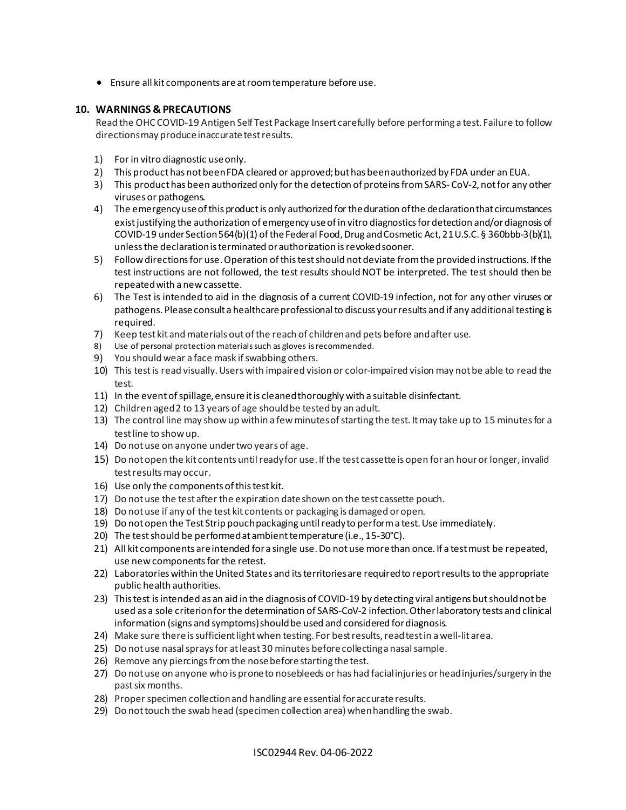• Ensure all kit components are at room temperature before use.

## <span id="page-8-0"></span>**10. WARNINGS & PRECAUTIONS**

Read the OHC COVID-19 Antigen Self Test Package Insert carefully before performing a test. Failure to follow directions may produce inaccurate test results.

- 1) For in vitro diagnostic use only.
- 2) This product has not been FDA cleared or approved; but has been authorized by FDA under an EUA.
- 3) This product has been authorized only for the detection of proteins from SARS- CoV-2, not for any other viruses or pathogens.
- 4) The emergency use of this product is only authorized for the duration of the declaration that circumstances exist justifying the authorization of emergency use of in vitro diagnostics for detection and/or diagnosis of COVID-19 under Section 564(b)(1) of the Federal Food, Drug and Cosmetic Act, 21 U.S.C. § 360bbb-3(b)(1), unless the declaration is terminated or authorization is revoked sooner.
- 5) Follow directions for use. Operation of this test should not deviate from the provided instructions. If the test instructions are not followed, the test results should NOT be interpreted. The test should then be repeated with a new cassette.
- 6) The Test is intended to aid in the diagnosis of a current COVID-19 infection, not for any other viruses or pathogens. Please consult a healthcare professional to discuss your results and if any additional testing is required.
- 7) Keep test kit and materials out of the reach of children and pets before and after use.
- 8) Use of personal protection materials such as gloves is recommended.
- 9) You should wear a face mask if swabbing others.
- 10) This test is read visually. Users with impaired vision or color-impaired vision may not be able to read the test.
- 11) In the event of spillage, ensure it is cleaned thoroughly with a suitable disinfectant.
- 12) Children aged 2 to 13 years of age should be tested by an adult.
- 13) The control line may show up within a few minutes of starting the test. It may take up to 15 minutes for a test line to show up.
- 14) Do not use on anyone under two years of age.
- 15) Do not open the kit contents until ready for use. If the test cassette is open for an hour or longer, invalid test results may occur.
- 16) Use only the components of this test kit.
- 17) Do not use the test after the expiration date shown on the test cassette pouch.
- 18) Do not use if any of the test kit contents or packaging is damaged or open.
- 19) Do not open the Test Strip pouch packaging until ready to perform a test. Use immediately.
- 20) The test should be performed at ambient temperature (i.e., 15-30°C).
- 21) All kit components are intended for a single use. Do not use more than once. If a test must be repeated, use new components for the retest.
- 22) Laboratories within the United States and its territories are required to report results to the appropriate public health authorities.
- 23) This test is intended as an aid in the diagnosis of COVID-19 by detecting viral antigens but should not be used as a sole criterion for the determination of SARS-CoV-2 infection. Other laboratory tests and clinical information (signs and symptoms) should be used and considered for diagnosis.
- 24) Make sure there is sufficient light when testing. For best results, read test in a well-lit area.
- 25) Do not use nasal sprays for at least 30 minutes before collecting a nasal sample.
- 26) Remove any piercings from the nose before starting the test.
- 27) Do not use on anyone who is prone to nosebleeds or has had facial injuries or head injuries/surgery in the past six months.
- 28) Proper specimen collection and handling are essential for accurate results.
- 29) Do not touch the swab head (specimen collection area) when handling the swab.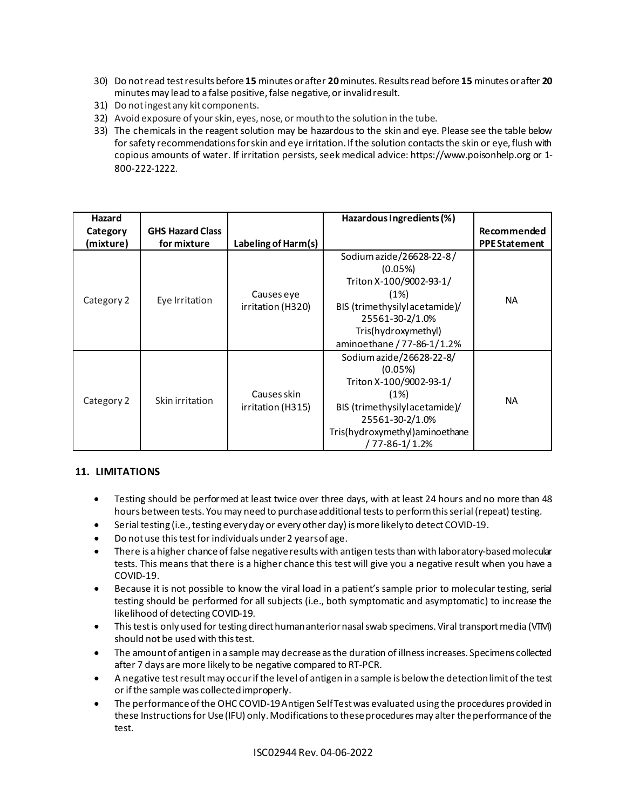- 30) Do not read test results before **15** minutes or after **20**minutes. Results read before **15** minutes or after **20** minutes may lead to a false positive, false negative, or invalid result.
- 31) Do not ingest any kit components.
- 32) Avoid exposure of your skin, eyes, nose, or mouth to the solution in the tube.
- 33) The chemicals in the reagent solution may be hazardous to the skin and eye. Please see the table below for safety recommendations for skin and eye irritation. If the solution contacts the skin or eye, flush with copious amounts of water. If irritation persists, seek medical advice: https://www.poisonhelp.org or 1- 800-222-1222.

| Hazard     |                         |                                  | Hazardous Ingredients (%)                                                                                                                                                       |                      |
|------------|-------------------------|----------------------------------|---------------------------------------------------------------------------------------------------------------------------------------------------------------------------------|----------------------|
| Category   | <b>GHS Hazard Class</b> |                                  |                                                                                                                                                                                 | Recommended          |
| (mixture)  | for mixture             | Labeling of Harm(s)              |                                                                                                                                                                                 | <b>PPE Statement</b> |
| Category 2 | Eye Irritation          | Causes eye<br>irritation (H320)  | Sodium azide/26628-22-8/<br>(0.05%)<br>Triton X-100/9002-93-1/<br>(1%)<br>BIS (trimethysilylacetamide)/<br>25561-30-2/1.0%<br>Tris(hydroxymethyl)<br>aminoethane / 77-86-1/1.2% | <b>NA</b>            |
| Category 2 | Skin irritation         | Causes skin<br>irritation (H315) | Sodium azide/26628-22-8/<br>(0.05%)<br>Triton X-100/9002-93-1/<br>(1%)<br>BIS (trimethysilylacetamide)/<br>25561-30-2/1.0%<br>Tris(hydroxymethyl) aminoethane<br>/ 77-86-1/1.2% | <b>NA</b>            |

## <span id="page-9-0"></span>**11. LIMITATIONS**

- Testing should be performed at least twice over three days, with at least 24 hours and no more than 48 hours between tests. You may need to purchase additional tests to perform this serial (repeat) testing.
- Serial testing (i.e., testing every day or every other day) is more likely to detect COVID-19.
- Do not use this test for individuals under 2 yearsof age.
- There is a higher chance of false negative results with antigen tests than with laboratory-based molecular tests. This means that there is a higher chance this test will give you a negative result when you have a COVID-19.
- Because it is not possible to know the viral load in a patient's sample prior to molecular testing, serial testing should be performed for all subjects (i.e., both symptomatic and asymptomatic) to increase the likelihood of detecting COVID-19.
- This testis only used for testing direct human anterior nasal swab specimens. Viral transport media (VTM) should not be used with this test.
- The amount of antigen in a sample may decrease as the duration of illness increases. Specimens collected after 7 days are more likely to be negative compared to RT-PCR.
- A negative test result may occur if the level of antigen in a sample is below the detection limit of the test or if the sample was collected improperly.
- The performance of the OHC COVID-19 Antigen Self Test was evaluated using the procedures provided in these Instructions for Use (IFU) only. Modifications to these procedures may alter the performance of the test.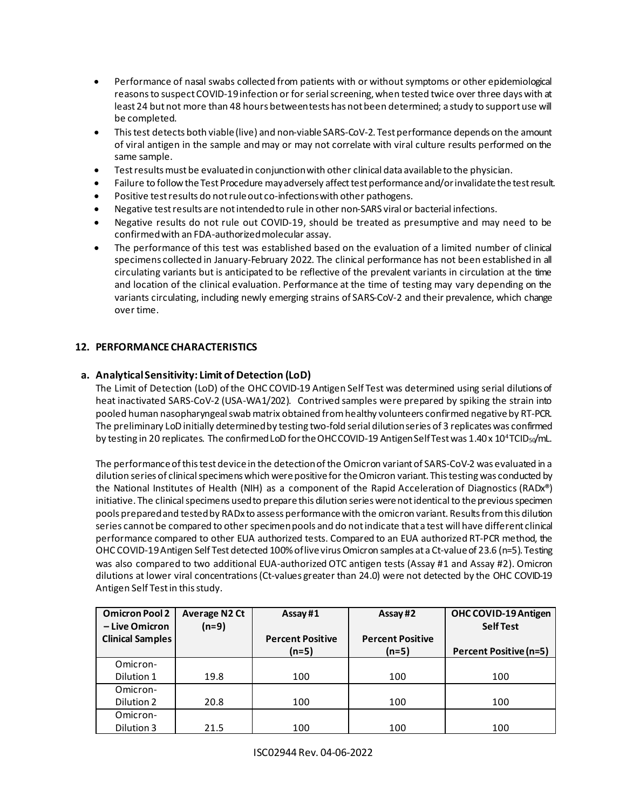- Performance of nasal swabs collected from patients with or without symptoms or other epidemiological reasons to suspect COVID-19 infection or for serial screening, when tested twice over three days with at least 24 but not more than 48 hours between tests has not been determined; a study to support use will be completed.
- This test detects both viable (live) and non-viable SARS-CoV-2. Test performance depends on the amount of viral antigen in the sample and may or may not correlate with viral culture results performed on the same sample.
- Test results must be evaluated in conjunction with other clinical data available to the physician.
- Failure to follow the Test Procedure may adversely affect test performance and/or invalidate the test result.
- Positive test results do not rule out co-infections with other pathogens.
- Negative test results are not intended to rule in other non-SARS viral or bacterial infections.
- Negative results do not rule out COVID-19, should be treated as presumptive and may need to be confirmed with an FDA-authorizedmolecular assay.
- The performance of this test was established based on the evaluation of a limited number of clinical specimens collected in January-February 2022. The clinical performance has not been established in all circulating variants but is anticipated to be reflective of the prevalent variants in circulation at the time and location of the clinical evaluation. Performance at the time of testing may vary depending on the variants circulating, including newly emerging strains of SARS-CoV-2 and their prevalence, which change over time.

## <span id="page-10-0"></span>**12. PERFORMANCE CHARACTERISTICS**

## **a. Analytical Sensitivity: Limit of Detection (LoD)**

The Limit of Detection (LoD) of the OHC COVID-19 Antigen Self Test was determined using serial dilutions of heat inactivated SARS-CoV-2 (USA-WA1/202). Contrived samples were prepared by spiking the strain into pooled human nasopharyngeal swab matrix obtained from healthy volunteers confirmed negative by RT-PCR. The preliminary LoD initially determined by testing two-fold serial dilutionseries of 3 replicates was confirmed by testing in 20 replicates. The confirmed LoD for the OHCCOVID-19 Antigen Self Test was 1.40 x 10<sup>4</sup>TCID<sub>50</sub>/mL.

The performance of this test device in the detection of the Omicron variant of SARS-CoV-2 was evaluated in a dilution series of clinical specimens which were positive for the Omicron variant. This testing was conducted by the National Institutes of Health (NIH) as a component of the Rapid Acceleration of Diagnostics (RADx®) initiative. The clinical specimens used to prepare this dilution series were not identical to the previous specimen pools prepared and tested by RADx to assess performance with the omicron variant. Results from this dilution series cannot be compared to other specimen pools and do not indicate that a test will have different clinical performance compared to other EUA authorized tests. Compared to an EUA authorized RT-PCR method, the OHC COVID-19 Antigen Self Test detected 100% of live virus Omicron samples at a Ct-value of 23.6 (n=5). Testing was also compared to two additional EUA-authorized OTC antigen tests (Assay #1 and Assay #2). Omicron dilutions at lower viral concentrations (Ct-values greater than 24.0) were not detected by the OHC COVID-19 Antigen Self Testin this study.

| <b>Omicron Pool 2</b>   | <b>Average N2 Ct</b> | Assay#1                 | Assay #2                | OHC COVID-19 Antigen          |
|-------------------------|----------------------|-------------------------|-------------------------|-------------------------------|
| – Live Omicron          | $(n=9)$              |                         |                         | <b>Self Test</b>              |
| <b>Clinical Samples</b> |                      | <b>Percent Positive</b> | <b>Percent Positive</b> |                               |
|                         |                      | $(n=5)$                 | $(n=5)$                 | <b>Percent Positive (n=5)</b> |
| Omicron-                |                      |                         |                         |                               |
| Dilution 1              | 19.8                 | 100                     | 100                     | 100                           |
| Omicron-                |                      |                         |                         |                               |
| Dilution 2              | 20.8                 | 100                     | 100                     | 100                           |
| Omicron-                |                      |                         |                         |                               |
| Dilution 3              | 21.5                 | 100                     | 100                     | 100                           |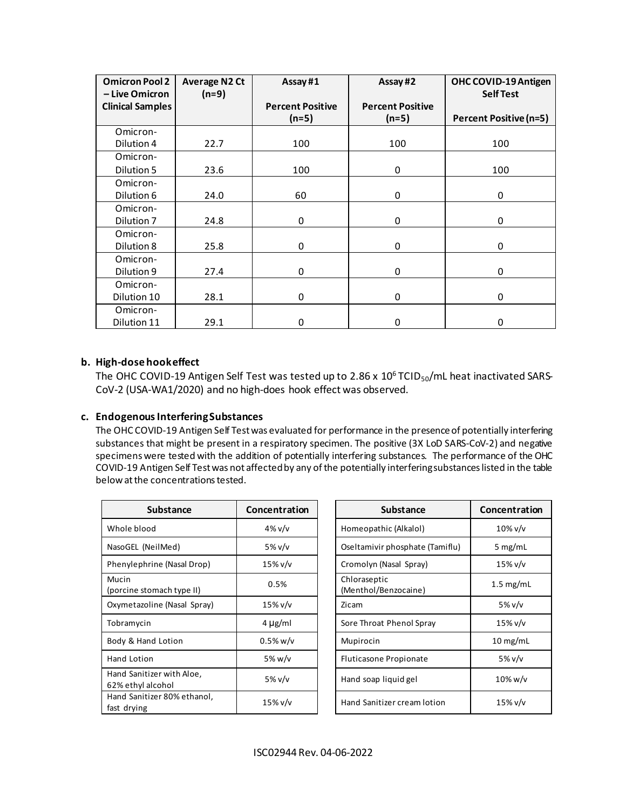| <b>Omicron Pool 2</b><br>- Live Omicron | <b>Average N2 Ct</b><br>$(n=9)$ | Assay#1                            | Assay#2                            | OHC COVID-19 Antigen<br><b>Self Test</b> |
|-----------------------------------------|---------------------------------|------------------------------------|------------------------------------|------------------------------------------|
| <b>Clinical Samples</b>                 |                                 | <b>Percent Positive</b><br>$(n=5)$ | <b>Percent Positive</b><br>$(n=5)$ | <b>Percent Positive (n=5)</b>            |
| Omicron-<br>Dilution 4                  | 22.7                            | 100                                | 100                                | 100                                      |
| Omicron-<br>Dilution 5                  | 23.6                            | 100                                | 0                                  | 100                                      |
| Omicron-<br>Dilution 6                  | 24.0                            | 60                                 | 0                                  | 0                                        |
| Omicron-<br>Dilution 7                  | 24.8                            | 0                                  | 0                                  | 0                                        |
| Omicron-<br>Dilution 8                  | 25.8                            | 0                                  | 0                                  | 0                                        |
| Omicron-<br>Dilution 9                  | 27.4                            | 0                                  | 0                                  | 0                                        |
| Omicron-<br>Dilution 10                 | 28.1                            | 0                                  | 0                                  | 0                                        |
| Omicron-<br>Dilution 11                 | 29.1                            | 0                                  | 0                                  | 0                                        |

## **b. High-dose hook effect**

The OHC COVID-19 Antigen Self Test was tested up to 2.86 x  $10^6$  TCID<sub>50</sub>/mL heat inactivated SARS-CoV-2 (USA-WA1/2020) and no high-does hook effect was observed.

## **c. Endogenous Interfering Substances**

The OHC COVID-19 Antigen Self Test was evaluated for performance in the presence of potentially interfering substances that might be present in a respiratory specimen. The positive (3X LoD SARS-CoV-2) and negative specimens were tested with the addition of potentially interfering substances. The performance of the OHC COVID-19 Antigen Self Test was not affected by any of the potentially interfering substances listed in the table below at the concentrations tested.

| <b>Substance</b>                               | Concentration | <b>Substance</b>                     | Concentrat  |
|------------------------------------------------|---------------|--------------------------------------|-------------|
| Whole blood                                    | 4% $v/v$      | Homeopathic (Alkalol)                | $10\%$ v/v  |
| NasoGEL (NeilMed)                              | 5% v/v        | Oseltamivir phosphate (Tamiflu)      | 5 $mg/mL$   |
| Phenylephrine (Nasal Drop)                     | $15\%$ v/v    | Cromolyn (Nasal Spray)               | 15% v/v     |
| Mucin<br>(porcine stomach type II)             | 0.5%          | Chloraseptic<br>(Menthol/Benzocaine) | $1.5$ mg/ml |
| Oxymetazoline (Nasal Spray)                    | $15\%$ v/v    | Zicam                                | 5% v/v      |
| Tobramycin                                     | $4 \mu g/ml$  | Sore Throat Phenol Spray             | $15\%$ v/v  |
| Body & Hand Lotion                             | $0.5\%$ w/v   | Mupirocin                            | $10$ mg/mL  |
| Hand Lotion                                    | 5% w/v        | Fluticasone Propionate               | 5% v/v      |
| Hand Sanitizer with Aloe,<br>62% ethyl alcohol | 5% v/v        | Hand soap liquid gel                 | $10\%$ w/v  |
| Hand Sanitizer 80% ethanol,<br>fast drying     | $15\%$ v/v    | Hand Sanitizer cream lotion          | 15% v/v     |

| Substance                  | Concentration | <b>Substance</b>                     |
|----------------------------|---------------|--------------------------------------|
| od                         | $4\%$ v/v     | Homeopathic (Alkalol)                |
| <b>JeilMed</b> )           | 5% v/v        | Oseltamivir phosphate (Tamiflu)      |
| rine (Nasal Drop)          | 15% v/v       | Cromolyn (Nasal Spray)               |
| omach type II)             | 0.5%          | Chloraseptic<br>(Menthol/Benzocaine) |
| Iine (Nasal Spray)         | 15% v/v       | Zicam                                |
|                            | $4 \mu g/ml$  | Sore Throat Phenol Spray             |
| nd Lotion                  | 0.5% w/v      | Mupirocin                            |
| 'n                         | 5% w/v        | Fluticasone Propionate               |
| izer with Aloe,<br>alcohol | 5% v/v        | Hand soap liquid gel                 |
| izer 80% ethanol,          | 15% v/v       | Hand Sanitizer cream lotion          |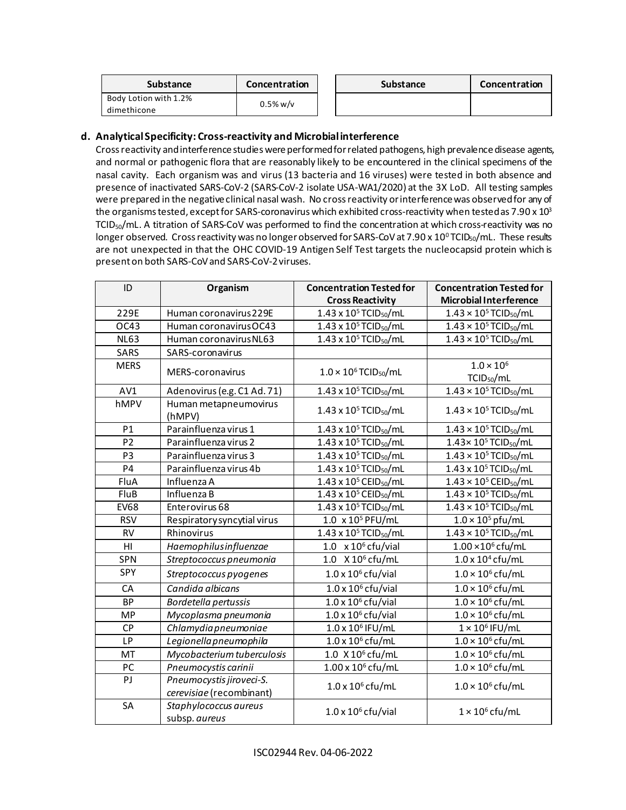| <b>Substance</b>                     | Concentration | <b>Substance</b> | Concentration |
|--------------------------------------|---------------|------------------|---------------|
| Body Lotion with 1.2%<br>dimethicone | $0.5\%$ w/v   |                  |               |

## **d. Analytical Specificity: Cross-reactivity and Microbial interference**

Cross reactivity and interference studies were performed for related pathogens, high prevalence disease agents, and normal or pathogenic flora that are reasonably likely to be encountered in the clinical specimens of the nasal cavity. Each organism was and virus (13 bacteria and 16 viruses) were tested in both absence and presence of inactivated SARS-CoV-2 (SARS-CoV-2 isolate USA-WA1/2020) at the 3X LoD. All testing samples were prepared in the negative clinical nasal wash. No cross reactivity or interferencewas observed for any of the organisms tested, except for SARS-coronavirus which exhibited cross-reactivity when tested as 7.90 x  $10^3$ TCID50/mL. A titration of SARS-CoV was performed to find the concentration at which cross-reactivity was no longer observed. Cross reactivity was no longer observed for SARS-CoV at 7.90 x 10<sup>o</sup> TCID<sub>50</sub>/mL. These results are not unexpected in that the OHC COVID-19 Antigen Self Test targets the nucleocapsid protein which is present on both SARS-CoV and SARS-CoV-2 viruses.

| ID             | Organism                                             | <b>Concentration Tested for</b><br><b>Cross Reactivity</b> | <b>Concentration Tested for</b><br><b>Microbial Interference</b> |
|----------------|------------------------------------------------------|------------------------------------------------------------|------------------------------------------------------------------|
| 229E           | Human coronavirus 229E                               | $1.43 \times 10^5$ TCID <sub>50</sub> /mL                  | $1.43 \times 10^5$ TCID <sub>50</sub> /mL                        |
| OC43           | Human coronavirus OC43                               | $1.43 \times 10^5$ TCID <sub>50</sub> /mL                  | $1.43 \times 10^5$ TCID <sub>50</sub> /mL                        |
| <b>NL63</b>    | Human coronavirus NL63                               | $1.43 \times 10^5$ TCID <sub>50</sub> /mL                  | $1.43 \times 10^5$ TCID <sub>50</sub> /mL                        |
| SARS           | SARS-coronavirus                                     |                                                            |                                                                  |
| <b>MERS</b>    | MERS-coronavirus                                     | $1.0 \times 10^6$ TCID <sub>50</sub> /mL                   | $1.0 \times 10^{6}$<br>TCID <sub>50</sub> /mL                    |
| AV1            | Adenovirus (e.g. C1 Ad. 71)                          | 1.43 x 10 <sup>5</sup> TCID <sub>50</sub> /mL              | $1.43 \times 10^5$ TCID <sub>50</sub> /mL                        |
| hMPV           | Human metapneumovirus<br>(hMPV)                      | $1.43 \times 10^5$ TCID <sub>50</sub> /mL                  | $1.43 \times 10^5$ TCID <sub>50</sub> /mL                        |
| P1             | Parainfluenza virus 1                                | $1.43 \times 10^5$ TCID <sub>50</sub> /mL                  | $1.43 \times 10^5$ TCID <sub>50</sub> /mL                        |
| P <sub>2</sub> | Parainfluenza virus 2                                | $1.43 \times 10^5$ TCID <sub>50</sub> /mL                  | $1.43 \times 10^5$ TCID <sub>50</sub> /mL                        |
| P <sub>3</sub> | Parainfluenza virus 3                                | $1.43 \times 10^5$ TCID <sub>50</sub> /mL                  | $1.43 \times 10^5$ TCID <sub>50</sub> /mL                        |
| P <sub>4</sub> | Parainfluenza virus 4b                               | 1.43 x 10 <sup>5</sup> TCID <sub>50</sub> /mL              | 1.43 x 10 <sup>5</sup> TCID <sub>50</sub> /mL                    |
| FluA           | Influenza A                                          | 1.43 x 10 <sup>5</sup> CEID <sub>50</sub> /mL              | $1.43 \times 10^{5}$ CEID <sub>50</sub> /mL                      |
| FluB           | Influenza B                                          | $1.43 \times 10^5$ CEID <sub>50</sub> /mL                  | $1.43 \times 10^5$ TCID <sub>50</sub> /mL                        |
| <b>EV68</b>    | Enterovirus 68                                       | $1.43 \times 10^5$ TCID <sub>50</sub> /mL                  | $1.43 \times 10^{5}$ TCID <sub>50</sub> /mL                      |
| <b>RSV</b>     | Respiratory syncytial virus                          | 1.0 x 10 <sup>5</sup> PFU/mL                               | $1.0 \times 10^5$ pfu/mL                                         |
| <b>RV</b>      | Rhinovirus                                           | 1.43 x 10 <sup>5</sup> TCID <sub>50</sub> /mL              | $1.43 \times 10^{5}$ TCID <sub>50</sub> /mL                      |
| H <sub>l</sub> | Haemophilusinfluenzae                                | $1.0 \times 10^6$ cfu/vial                                 | $1.00 \times 10^6$ cfu/mL                                        |
| SPN            | Streptococcus pneumonia                              | 1.0 $X 10^6$ cfu/mL                                        | $1.0 \times 10^{4}$ cfu/mL                                       |
| SPY            | Streptococcus pyogenes                               | $1.0 \times 10^6$ cfu/vial                                 | $1.0 \times 10^6$ cfu/mL                                         |
| CA             | Candida albicans                                     | $1.0 \times 10^6$ cfu/vial                                 | $1.0 \times 10^6$ cfu/mL                                         |
| <b>BP</b>      | Bordetella pertussis                                 | $1.0 \times 10^6$ cfu/vial                                 | $1.0 \times 10^6$ cfu/mL                                         |
| <b>MP</b>      | Mycoplasma pneumonia                                 | $1.0 \times 10^6$ cfu/vial                                 | $1.0 \times 10^6$ cfu/mL                                         |
| <b>CP</b>      | Chlamydia pneumoniae                                 | $1.0 \times 10^{6}$ IFU/mL                                 | $1 \times 10^6$ IFU/mL                                           |
| LP             | Legionella pneumophila                               | $1.0 \times 10^6$ cfu/mL                                   | $1.0 \times 10^6$ cfu/mL                                         |
| MT             | Mycobacterium tuberculosis                           | 1.0 X 10 <sup>6</sup> cfu/mL                               | $1.0 \times 10^6$ cfu/mL                                         |
| PC             | Pneumocystis carinii                                 | $1.00 \times 10^6$ cfu/mL                                  | $1.0 \times 10^6$ cfu/mL                                         |
| PI             | Pneumocystis jiroveci-S.<br>cerevisiae (recombinant) | $1.0 \times 10^6$ cfu/mL                                   | $1.0 \times 10^6$ cfu/mL                                         |
| SA             | Staphylococcus aureus<br>subsp. aureus               | $1.0 \times 10^6$ cfu/vial                                 | $1 \times 10^6$ cfu/mL                                           |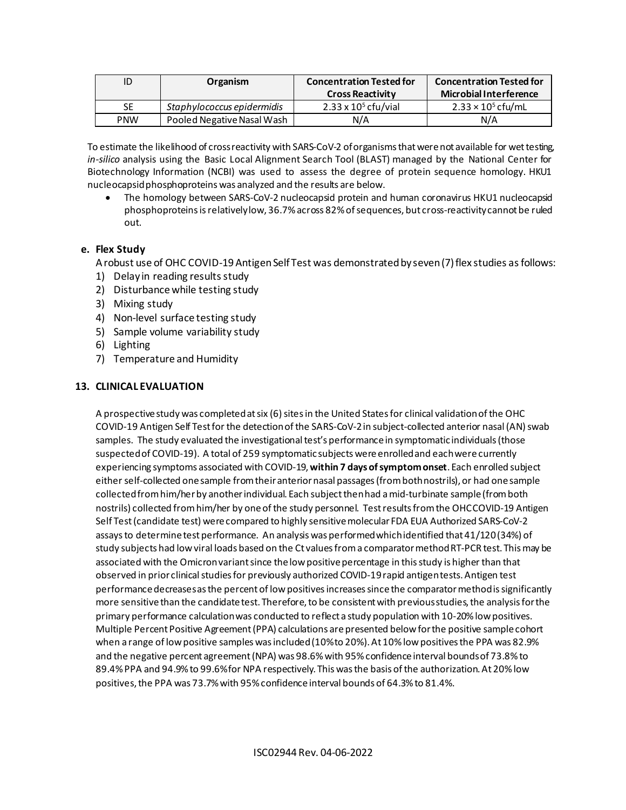| ID         | Organism                   | <b>Concentration Tested for</b><br><b>Cross Reactivity</b> | <b>Concentration Tested for</b><br><b>Microbial Interference</b> |
|------------|----------------------------|------------------------------------------------------------|------------------------------------------------------------------|
| <b>SE</b>  | Staphylococcus epidermidis | $2.33 \times 10^5$ cfu/vial                                | $2.33 \times 10^5$ cfu/mL                                        |
| <b>PNW</b> | Pooled Negative Nasal Wash | N/A                                                        | N/A                                                              |

To estimate the likelihood of cross reactivity with SARS-CoV-2 of organisms that were not available for wet testing, *in-silico* analysis using the Basic Local Alignment Search Tool (BLAST) managed by the National Center for Biotechnology Information (NCBI) was used to assess the degree of protein sequence homology. HKU1 nucleocapsidphosphoproteins was analyzed and the results are below.

• The homology between SARS-CoV-2 nucleocapsid protein and human coronavirus HKU1 nucleocapsid phosphoproteins is relativelylow, 36.7% across 82% of sequences, but cross-reactivity cannot be ruled out.

## **e. Flex Study**

A robust use of OHC COVID-19 Antigen Self Test was demonstrated by seven (7) flex studies as follows:

- 1) Delay in reading results study
- 2) Disturbance while testing study
- 3) Mixing study
- 4) Non-level surface testing study
- 5) Sample volume variability study
- 6) Lighting
- 7) Temperature and Humidity

## <span id="page-13-0"></span>**13. CLINICAL EVALUATION**

A prospective study was completed at six (6) sites in the United Statesfor clinical validation of the OHC COVID-19 Antigen Self Test for the detection of the SARS-CoV-2 in subject-collected anterior nasal (AN) swab samples. The study evaluated the investigational test's performance in symptomatic individuals(those suspected of COVID-19). A total of 259 symptomatic subjects were enrolled and each were currently experiencing symptoms associated with COVID-19, **within 7 days of symptom onset**. Each enrolled subject either self-collected one sample from their anterior nasal passages (from both nostrils), or had one sample collected from him/her by another individual. Each subject then had a mid-turbinate sample (from both nostrils) collected from him/her by one of the study personnel. Test results from the OHC COVID-19 Antigen Self Test (candidate test) were compared to highly sensitivemolecular FDA EUA Authorized SARS-CoV-2 assays to determine test performance. An analysis was performed which identified that 41/120(34%) of study subjects had low viral loads based on the Ct valuesfrom a comparator methodRT-PCR test. Thismay be associated with the Omicronvariantsince the low positive percentage in this study is higher than that observed in prior clinical studies for previously authorized COVID-19 rapid antigen tests.Antigen test performance decreases as the percent of low positives increases since the comparator method is significantly more sensitive than the candidate test. Therefore, to be consistent with previous studies, the analysis for the primary performance calculationwas conducted to reflect a study population with 10-20% low positives. Multiple Percent Positive Agreement (PPA) calculations are presented belowfor the positive sample cohort when a range of low positive samples was included (10% to 20%). At 10% low positives the PPA was 82.9% and the negative percent agreement(NPA) was 98.6% with 95% confidence interval bounds of 73.8% to 89.4%PPA and 94.9% to 99.6% for NPA respectively. This was the basis of the authorization. At 20% low positives, the PPA was 73.7% with 95% confidence interval bounds of 64.3% to 81.4%.